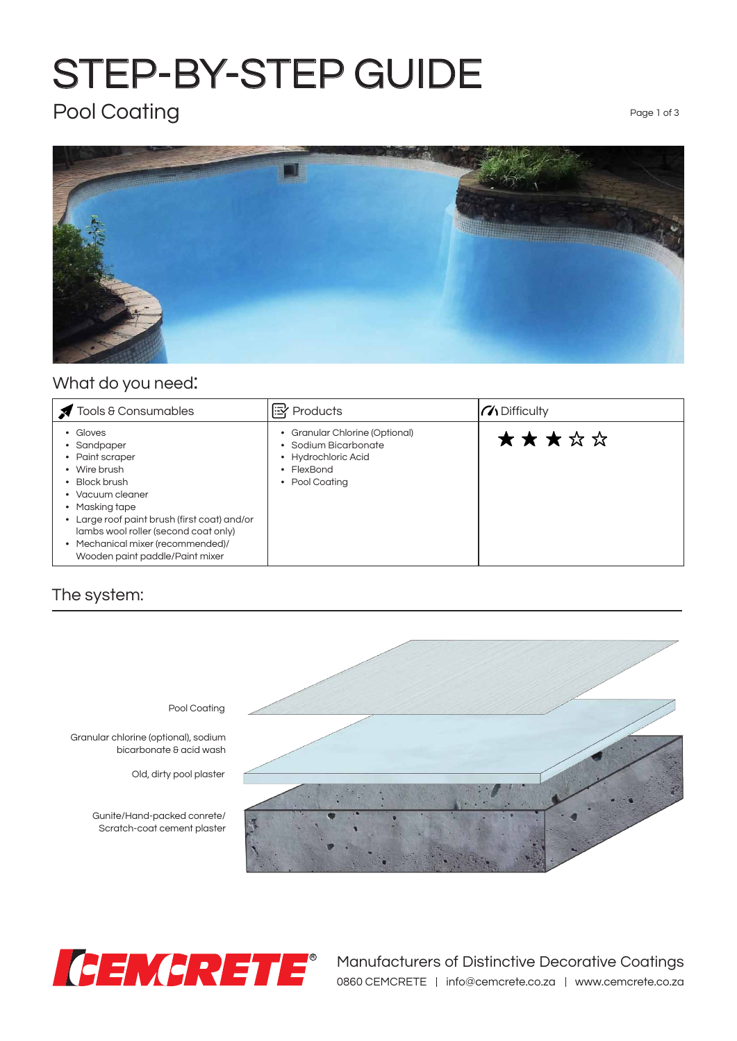## STEP-BY-STEP GUIDE

### Pool Coating Page 1 of 3



#### What do you need:

| Tools & Consumables                                                                                                                                                                                                                                                               | <b>x</b> Products                                                                                              | $\mathcal{U}$ Difficulty |
|-----------------------------------------------------------------------------------------------------------------------------------------------------------------------------------------------------------------------------------------------------------------------------------|----------------------------------------------------------------------------------------------------------------|--------------------------|
| • Gloves<br>• Sandpaper<br>• Paint scraper<br>• Wire brush<br>• Block brush<br>• Vacuum cleaner<br>• Masking tape<br>• Large roof paint brush (first coat) and/or<br>lambs wool roller (second coat only)<br>• Mechanical mixer (recommended)/<br>Wooden paint paddle/Paint mixer | Granular Chlorine (Optional)<br>• Sodium Bicarbonate<br>• Hydrochloric Acid<br>FlexBond<br>٠<br>• Pool Coatina | ★★★☆☆                    |

#### The system:



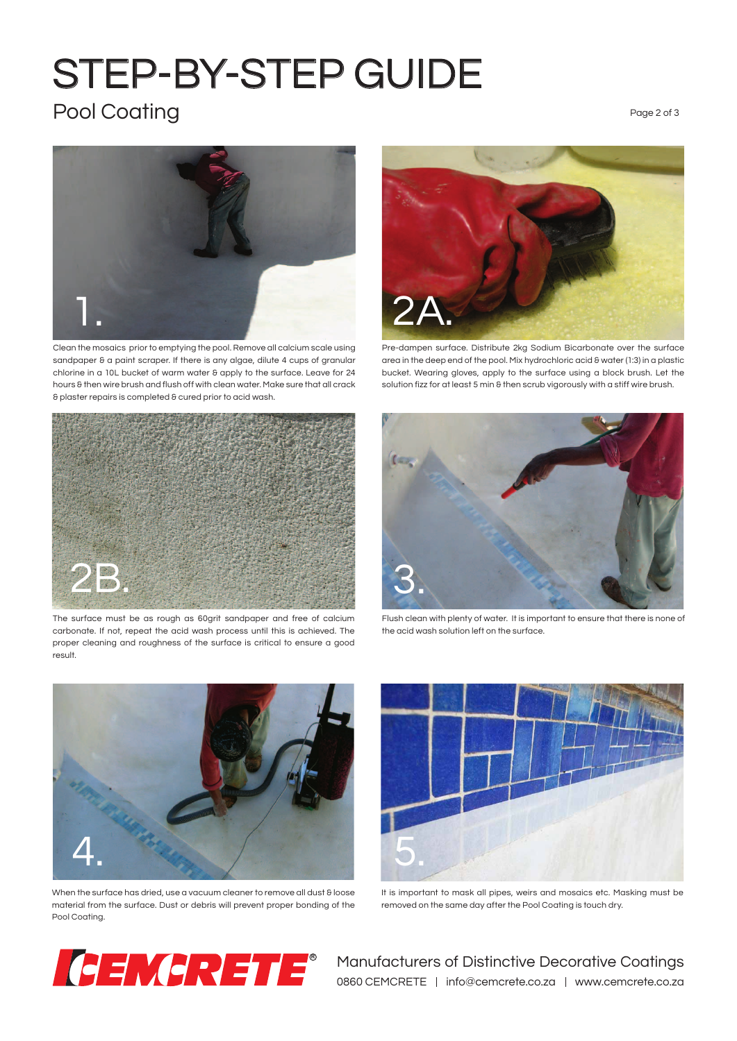# STEP-BY-STEP GUIDE

### Pool Coating

Page 2 of 3



Clean the mosaics prior to emptying the pool. Remove all calcium scale using sandpaper & a paint scraper. If there is any algae, dilute 4 cups of granular chlorine in a 10L bucket of warm water & apply to the surface. Leave for 24 hours & then wire brush and flush off with clean water. Make sure that all crack & plaster repairs is completed & cured prior to acid wash.



The surface must be as rough as 60grit sandpaper and free of calcium carbonate. If not, repeat the acid wash process until this is achieved. The proper cleaning and roughness of the surface is critical to ensure a good result.



Pre-dampen surface. Distribute 2kg Sodium Bicarbonate over the surface area in the deep end of the pool. Mix hydrochloric acid & water (1:3) in a plastic bucket. Wearing gloves, apply to the surface using a block brush. Let the solution fizz for at least 5 min 8 then scrub vigorously with a stiff wire brush.



Flush clean with plenty of water. It is important to ensure that there is none of the acid wash solution left on the surface.



When the surface has dried, use a vacuum cleaner to remove all dust & loose material from the surface. Dust or debris will prevent proper bonding of the Pool Coating.



It is important to mask all pipes, weirs and mosaics etc. Masking must be removed on the same day after the Pool Coating is touch dry.



**R** Manufacturers of Distinctive Decorative Coatings 0860 CEMCRETE | info@cemcrete.co.za | www.cemcrete.co.za